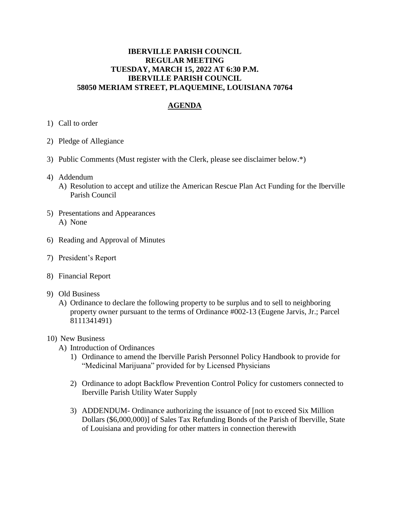## **IBERVILLE PARISH COUNCIL REGULAR MEETING TUESDAY, MARCH 15, 2022 AT 6:30 P.M. IBERVILLE PARISH COUNCIL 58050 MERIAM STREET, PLAQUEMINE, LOUISIANA 70764**

## **AGENDA**

- 1) Call to order
- 2) Pledge of Allegiance
- 3) Public Comments (Must register with the Clerk, please see disclaimer below.\*)
- 4) Addendum
	- A) Resolution to accept and utilize the American Rescue Plan Act Funding for the Iberville Parish Council
- 5) Presentations and Appearances A) None
- 6) Reading and Approval of Minutes
- 7) President's Report
- 8) Financial Report
- 9) Old Business
	- A) Ordinance to declare the following property to be surplus and to sell to neighboring property owner pursuant to the terms of Ordinance #002-13 (Eugene Jarvis, Jr.; Parcel 8111341491)
- 10) New Business
	- A) Introduction of Ordinances
		- 1) Ordinance to amend the Iberville Parish Personnel Policy Handbook to provide for "Medicinal Marijuana" provided for by Licensed Physicians
		- 2) Ordinance to adopt Backflow Prevention Control Policy for customers connected to Iberville Parish Utility Water Supply
		- 3) ADDENDUM- Ordinance authorizing the issuance of [not to exceed Six Million Dollars (\$6,000,000)] of Sales Tax Refunding Bonds of the Parish of Iberville, State of Louisiana and providing for other matters in connection therewith